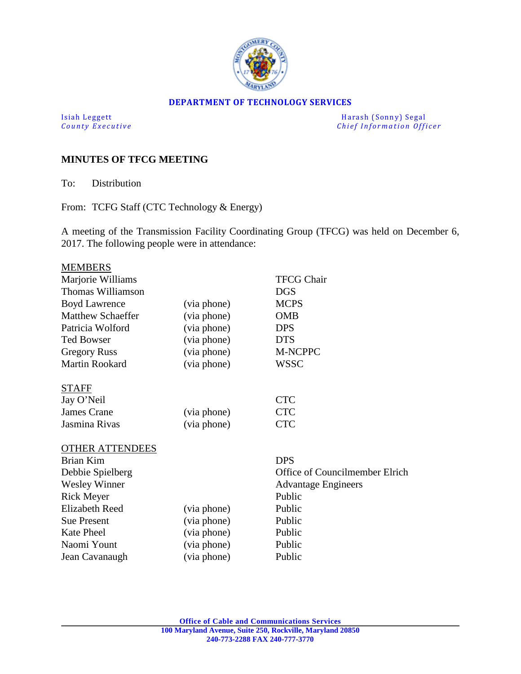

## **DEPARTMENT OF TECHNOLOGY SERVICES**

Isiah Leggett Harash (Sonny) Segal<br>
County Executive County Executive Chief Information Officers *Chief Information Officer* 

## **MINUTES OF TFCG MEETING**

To: Distribution

From: TCFG Staff (CTC Technology & Energy)

A meeting of the Transmission Facility Coordinating Group (TFCG) was held on December 6, 2017. The following people were in attendance:

| <b>MEMBERS</b>           |             |                                |
|--------------------------|-------------|--------------------------------|
| Marjorie Williams        |             | <b>TFCG Chair</b>              |
| Thomas Williamson        |             | <b>DGS</b>                     |
| <b>Boyd Lawrence</b>     | (via phone) | <b>MCPS</b>                    |
| <b>Matthew Schaeffer</b> | (via phone) | <b>OMB</b>                     |
| Patricia Wolford         | (via phone) | <b>DPS</b>                     |
| <b>Ted Bowser</b>        | (via phone) | <b>DTS</b>                     |
| <b>Gregory Russ</b>      | (via phone) | <b>M-NCPPC</b>                 |
| Martin Rookard           | (via phone) | <b>WSSC</b>                    |
| <b>STAFF</b>             |             |                                |
| Jay O'Neil               |             | <b>CTC</b>                     |
| James Crane              | (via phone) | <b>CTC</b>                     |
| Jasmina Rivas            | (via phone) | <b>CTC</b>                     |
| <b>OTHER ATTENDEES</b>   |             |                                |
| Brian Kim                |             | <b>DPS</b>                     |
| Debbie Spielberg         |             | Office of Councilmember Elrich |
| <b>Wesley Winner</b>     |             | <b>Advantage Engineers</b>     |
| <b>Rick Meyer</b>        |             | Public                         |
| <b>Elizabeth Reed</b>    | (via phone) | Public                         |
| <b>Sue Present</b>       | (via phone) | Public                         |
| <b>Kate Pheel</b>        | (via phone) | Public                         |
| Naomi Yount              | (via phone) | Public                         |
| Jean Cavanaugh           | (via phone) | Public                         |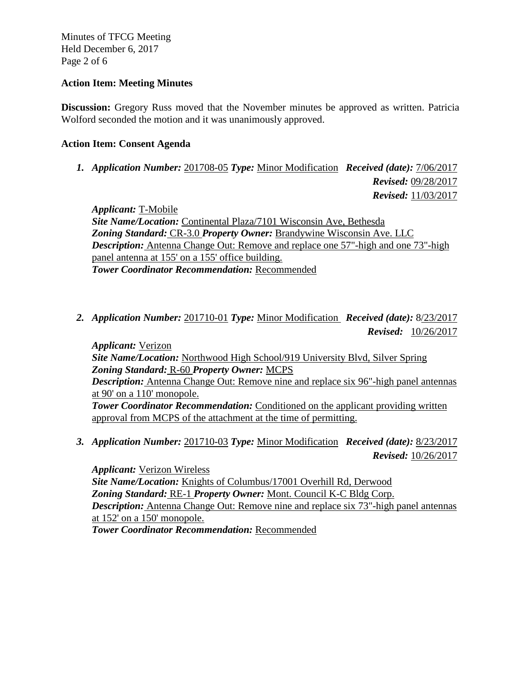Minutes of TFCG Meeting Held December 6, 2017 Page 2 of 6

## **Action Item: Meeting Minutes**

**Discussion:** Gregory Russ moved that the November minutes be approved as written. Patricia Wolford seconded the motion and it was unanimously approved.

## **Action Item: Consent Agenda**

*1. Application Number:* 201708-05 *Type:* Minor Modification *Received (date):* 7/06/2017

 *Revised:* 09/28/2017  *Revised:* 11/03/2017

*Applicant:* T-Mobile *Site Name/Location:* Continental Plaza/7101 Wisconsin Ave, Bethesda *Zoning Standard:* CR-3.0 *Property Owner:* Brandywine Wisconsin Ave. LLC *Description:* Antenna Change Out: Remove and replace one 57"-high and one 73"-high panel antenna at 155' on a 155' office building. *Tower Coordinator Recommendation:* Recommended

*2. Application Number:* 201710-01 *Type:* Minor Modification *Received (date):* 8/23/2017  *Revised:* 10/26/2017

*Applicant:* Verizon *Site Name/Location:* Northwood High School/919 University Blvd, Silver Spring *Zoning Standard:* R-60 *Property Owner:* MCPS *Description:* Antenna Change Out: Remove nine and replace six 96"-high panel antennas at 90' on a 110' monopole. **Tower Coordinator Recommendation:** Conditioned on the applicant providing written approval from MCPS of the attachment at the time of permitting.

*3. Application Number:* 201710-03 *Type:* Minor Modification *Received (date):* 8/23/2017 *Revised:* 10/26/2017

*Applicant:* Verizon Wireless *Site Name/Location:* Knights of Columbus/17001 Overhill Rd, Derwood *Zoning Standard:* RE-1 *Property Owner:* Mont. Council K-C Bldg Corp. *Description:* Antenna Change Out: Remove nine and replace six 73"-high panel antennas at 152' on a 150' monopole. *Tower Coordinator Recommendation:* Recommended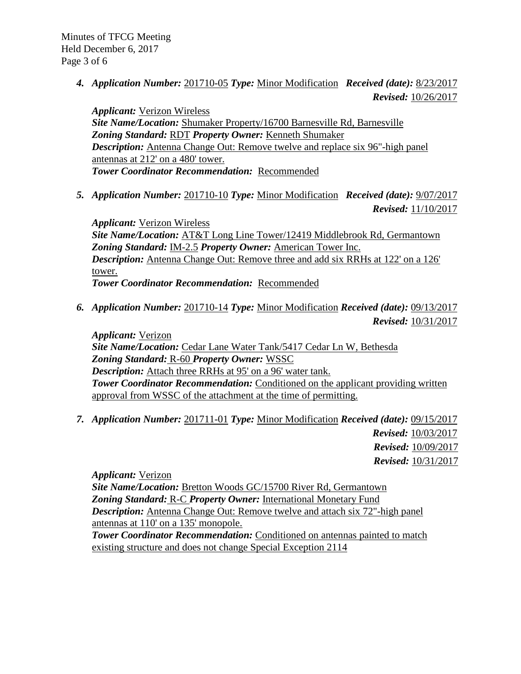*4. Application Number:* 201710-05 *Type:* Minor Modification *Received (date):* 8/23/2017  *Revised:* 10/26/2017

*Applicant:* Verizon Wireless *Site Name/Location:* Shumaker Property/16700 Barnesville Rd, Barnesville *Zoning Standard:* RDT *Property Owner:* Kenneth Shumaker *Description:* Antenna Change Out: Remove twelve and replace six 96"-high panel antennas at 212' on a 480' tower. *Tower Coordinator Recommendation:* Recommended

*5. Application Number:* 201710-10 *Type:* Minor Modification *Received (date):* 9/07/2017  *Revised:* 11/10/2017

*Applicant:* Verizon Wireless *Site Name/Location:* AT&T Long Line Tower/12419 Middlebrook Rd, Germantown *Zoning Standard:* IM-2.5 *Property Owner:* American Tower Inc. *Description:* Antenna Change Out: Remove three and add six RRHs at 122' on a 126' tower. *Tower Coordinator Recommendation:* Recommended

*6. Application Number:* 201710-14 *Type:* Minor Modification *Received (date):* 09/13/2017 *Revised:* 10/31/2017

*Applicant:* Verizon *Site Name/Location:* Cedar Lane Water Tank/5417 Cedar Ln W, Bethesda *Zoning Standard:* R-60 *Property Owner:* WSSC *Description:* Attach three RRHs at 95' on a 96' water tank. **Tower Coordinator Recommendation:** Conditioned on the applicant providing written approval from WSSC of the attachment at the time of permitting.

*7. Application Number:* 201711-01 *Type:* Minor Modification *Received (date):* 09/15/2017 *Revised:* 10/03/2017  *Revised:* 10/09/2017 *Revised:* 10/31/2017

*Applicant:* Verizon *Site Name/Location:* Bretton Woods GC/15700 River Rd, Germantown *Zoning Standard:* R-C *Property Owner:* International Monetary Fund *Description:* Antenna Change Out: Remove twelve and attach six 72"-high panel antennas at 110' on a 135' monopole.

**Tower Coordinator Recommendation:** Conditioned on antennas painted to match existing structure and does not change Special Exception 2114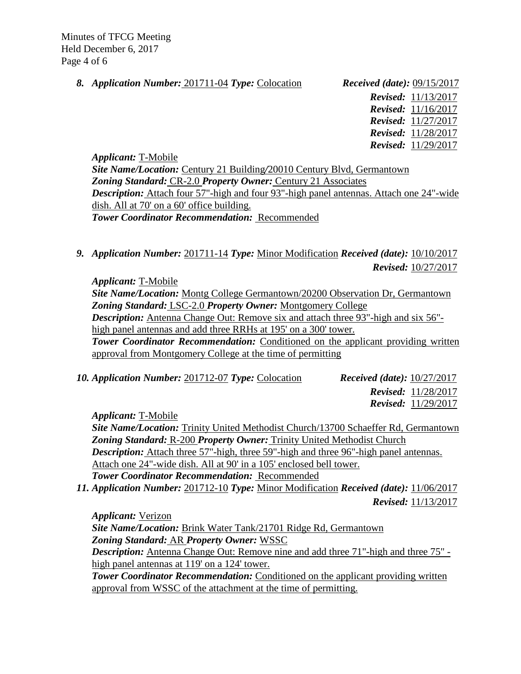Minutes of TFCG Meeting Held December 6, 2017 Page 4 of 6

*8. Application Number:* 201711-04 *Type:* Colocation *Received (date):* 09/15/2017

 *Revised:* 11/13/2017  *Revised:* 11/16/2017  *Revised:* 11/27/2017  *Revised:* 11/28/2017  *Revised:* 11/29/2017

*Applicant:* T-Mobile *Site Name/Location:* Century 21 Building*/*20010 Century Blvd, Germantown *Zoning Standard:* CR-2.0 *Property Owner:* Century 21 Associates *Description:* Attach four 57"-high and four 93"-high panel antennas. Attach one 24"-wide dish. All at 70' on a 60' office building. *Tower Coordinator Recommendation:* Recommended

*9. Application Number:* 201711-14 *Type:* Minor Modification *Received (date):* 10/10/2017 *Revised:* 10/27/2017

*Applicant:* T-Mobile

*Site Name/Location:* Montg College Germantown/20200 Observation Dr, Germantown *Zoning Standard:* LSC-2.0 *Property Owner:* Montgomery College

*Description:* Antenna Change Out: Remove six and attach three 93"-high and six 56"high panel antennas and add three RRHs at 195' on a 300' tower.

**Tower Coordinator Recommendation:** Conditioned on the applicant providing written approval from Montgomery College at the time of permitting

*10. Application Number:* 201712-07 *Type:* Colocation *Received (date):* 10/27/2017  *Revised:* 11/28/2017  *Revised:* 11/29/2017

*Applicant:* T-Mobile

*Site Name/Location:* Trinity United Methodist Church/13700 Schaeffer Rd, Germantown *Zoning Standard:* R-200 *Property Owner:* Trinity United Methodist Church *Description:* Attach three 57"-high, three 59"-high and three 96"-high panel antennas. Attach one 24"-wide dish. All at 90' in a 105' enclosed bell tower. *Tower Coordinator Recommendation:* Recommended

*11. Application Number:* 201712-10 *Type:* Minor Modification *Received (date):* 11/06/2017 *Revised:* 11/13/2017

*Applicant:* Verizon

*Site Name/Location:* Brink Water Tank/21701 Ridge Rd, Germantown *Zoning Standard:* AR *Property Owner:* WSSC

*Description:* Antenna Change Out: Remove nine and add three 71"-high and three 75" high panel antennas at 119' on a 124' tower.

**Tower Coordinator Recommendation:** Conditioned on the applicant providing written approval from WSSC of the attachment at the time of permitting.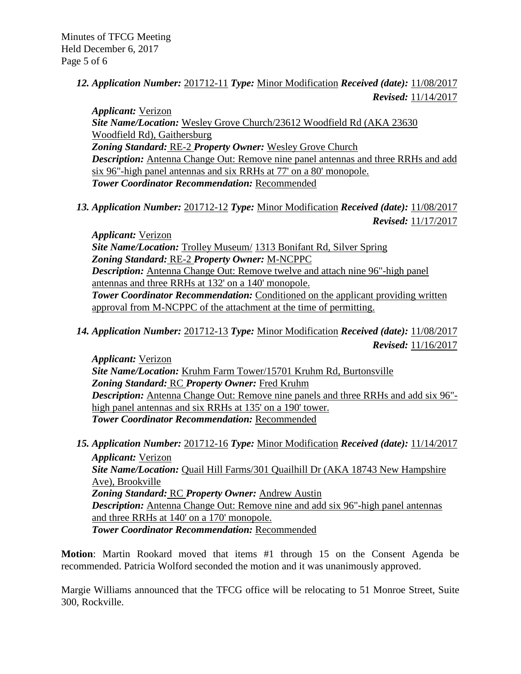*12. Application Number:* 201712-11 *Type:* Minor Modification *Received (date):* 11/08/2017 *Revised:* 11/14/2017

*Applicant:* Verizon *Site Name/Location:* Wesley Grove Church/23612 Woodfield Rd (AKA 23630 Woodfield Rd), Gaithersburg *Zoning Standard:* RE-2 *Property Owner:* Wesley Grove Church *Description:* Antenna Change Out: Remove nine panel antennas and three RRHs and add six 96"-high panel antennas and six RRHs at 77' on a 80' monopole. *Tower Coordinator Recommendation:* Recommended

*13. Application Number:* 201712-12 *Type:* Minor Modification *Received (date):* 11/08/2017 *Revised:* 11/17/2017

*Applicant:* Verizon *Site Name/Location:* Trolley Museum/ 1313 Bonifant Rd, Silver Spring *Zoning Standard:* RE-2 *Property Owner:* M-NCPPC *Description:* Antenna Change Out: Remove twelve and attach nine 96"-high panel antennas and three RRHs at 132' on a 140' monopole. **Tower Coordinator Recommendation:** Conditioned on the applicant providing written approval from M-NCPPC of the attachment at the time of permitting.

*14. Application Number:* 201712-13 *Type:* Minor Modification *Received (date):* 11/08/2017 *Revised:* 11/16/2017

*Applicant:* Verizon *Site Name/Location:* Kruhm Farm Tower/15701 Kruhm Rd, Burtonsville *Zoning Standard:* RC *Property Owner:* Fred Kruhm *Description:* Antenna Change Out: Remove nine panels and three RRHs and add six 96"high panel antennas and six RRHs at 135' on a 190' tower. *Tower Coordinator Recommendation:* Recommended

*15. Application Number:* 201712-16 *Type:* Minor Modification *Received (date):* 11/14/2017 *Applicant:* Verizon *Site Name/Location:* Quail Hill Farms/301 Quailhill Dr (AKA 18743 New Hampshire Ave), Brookville *Zoning Standard:* RC *Property Owner:* Andrew Austin *Description:* Antenna Change Out: Remove nine and add six 96"-high panel antennas and three RRHs at 140' on a 170' monopole. *Tower Coordinator Recommendation:* Recommended

**Motion**: Martin Rookard moved that items #1 through 15 on the Consent Agenda be recommended. Patricia Wolford seconded the motion and it was unanimously approved.

Margie Williams announced that the TFCG office will be relocating to 51 Monroe Street, Suite 300, Rockville.